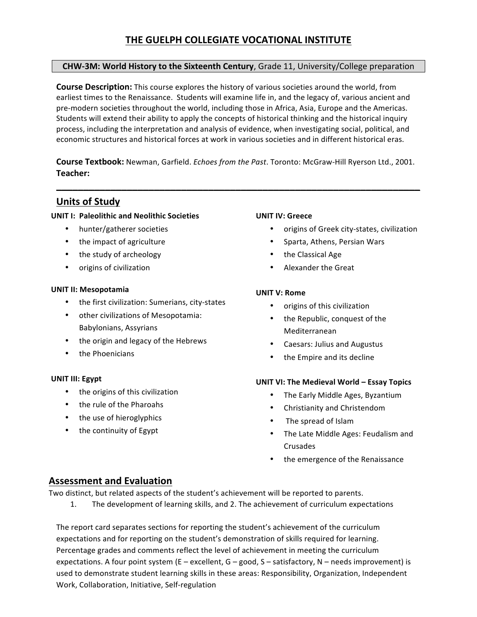# **THE GUELPH COLLEGIATE VOCATIONAL INSTITUTE**

#### **CHW-3M: World History to the Sixteenth Century**, Grade 11, University/College preparation

**Course Description:** This course explores the history of various societies around the world, from earliest times to the Renaissance. Students will examine life in, and the legacy of, various ancient and pre-modern societies throughout the world, including those in Africa, Asia, Europe and the Americas. Students will extend their ability to apply the concepts of historical thinking and the historical inquiry process, including the interpretation and analysis of evidence, when investigating social, political, and economic structures and historical forces at work in various societies and in different historical eras.

**Course Textbook:** Newman, Garfield. *Echoes from the Past*. Toronto: McGraw-Hill Ryerson Ltd., 2001. **Teacher:**

**\_\_\_\_\_\_\_\_\_\_\_\_\_\_\_\_\_\_\_\_\_\_\_\_\_\_\_\_\_\_\_\_\_\_\_\_\_\_\_\_\_\_\_\_\_\_\_\_\_\_\_\_\_\_\_\_\_\_\_\_\_\_\_\_\_\_\_**

# **Units of Study**

#### **UNIT I: Paleolithic and Neolithic Societies**

- hunter/gatherer societies
- the impact of agriculture
- the study of archeology
- origins of civilization

#### **UNIT II: Mesopotamia**

- $\bullet$  the first civilization: Sumerians, city-states
- other civilizations of Mesopotamia: Babylonians, Assyrians
- the origin and legacy of the Hebrews
- the Phoenicians

#### **UNIT III: Egypt**

- the origins of this civilization
- the rule of the Pharoahs
- the use of hieroglyphics
- the continuity of Egypt

#### **UNIT IV: Greece**

- origins of Greek city-states, civilization
- Sparta, Athens, Persian Wars
- the Classical Age
- Alexander the Great

#### **UNIT V: Rome**

- origins of this civilization
- the Republic, conquest of the Mediterranean
- Caesars: Julius and Augustus
- the Empire and its decline

#### **UNIT VI: The Medieval World – Essay Topics**

- The Early Middle Ages, Byzantium
- Christianity and Christendom
- The spread of Islam
- The Late Middle Ages: Feudalism and Crusades
- the emergence of the Renaissance

### **Assessment and Evaluation**

Two distinct, but related aspects of the student's achievement will be reported to parents.

1. The development of learning skills, and 2. The achievement of curriculum expectations

The report card separates sections for reporting the student's achievement of the curriculum expectations and for reporting on the student's demonstration of skills required for learning. Percentage grades and comments reflect the level of achievement in meeting the curriculum expectations. A four point system  $(E - \text{excellent}, G - \text{good}, S - \text{satisfactory}, N - \text{needs improvement})$  is used to demonstrate student learning skills in these areas: Responsibility, Organization, Independent Work, Collaboration, Initiative, Self-regulation